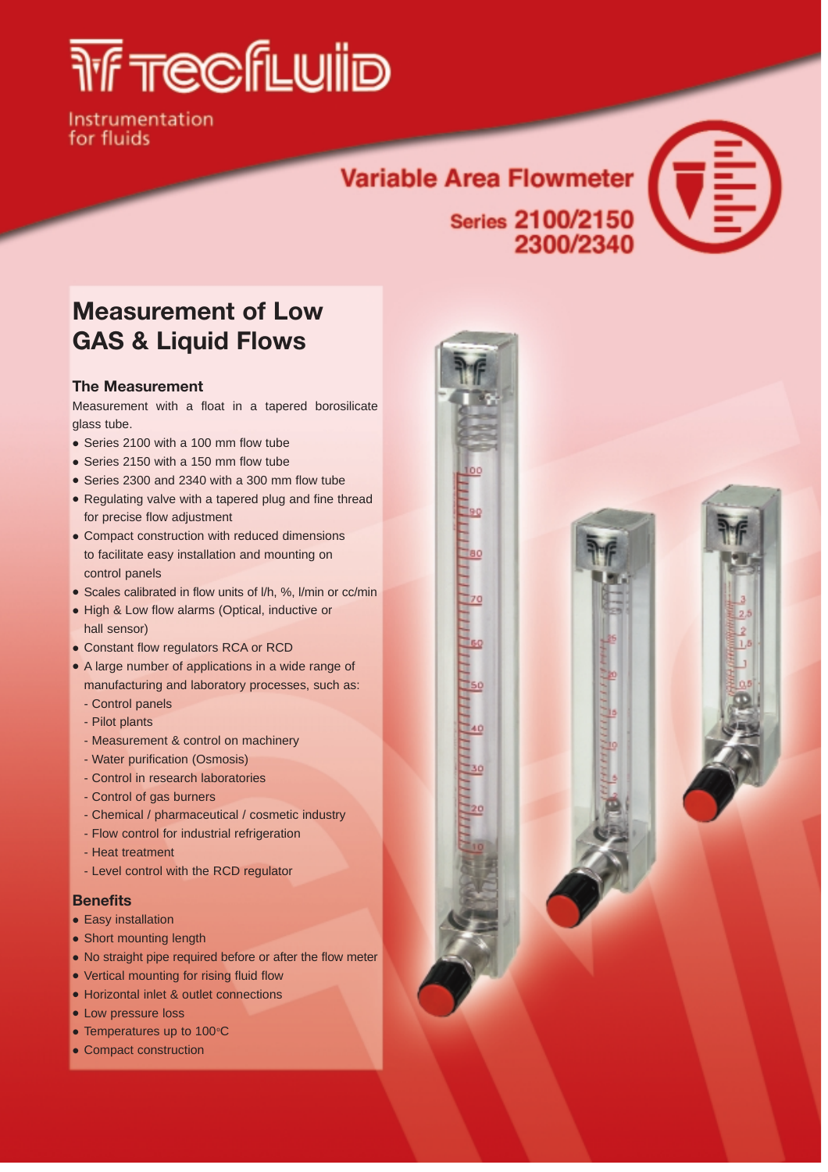# *THE TECEFE WIID*

Instrumentation for fluids

## Variable Area Flowmeter  $\left(\overline{\overline{\overline{\overline{}}}}\right)$ Series 2100/2150



### **Measurement of Low GAS & Liquid Flows**

#### **The Measurement**

Measurement with a float in a tapered borosilicate glass tube.

- Series 2100 with a 100 mm flow tube
- Series 2150 with a 150 mm flow tube
- Series 2300 and 2340 with a 300 mm flow tube
- Regulating valve with a tapered plug and fine thread for precise flow adjustment
- Compact construction with reduced dimensions to facilitate easy installation and mounting on control panels
- Scales calibrated in flow units of l/h, %, l/min or cc/min
- High & Low flow alarms (Optical, inductive or hall sensor)
- Constant flow regulators RCA or RCD
- A large number of applications in a wide range of manufacturing and laboratory processes, such as:
	- Control panels
	- Pilot plants
	- Measurement & control on machinery
	- Water purification (Osmosis)
	- Control in research laboratories
	- Control of gas burners
	- Chemical / pharmaceutical / cosmetic industry
	- Flow control for industrial refrigeration
	- Heat treatment
	- Level control with the RCD regulator

#### **Benefits**

- **•** Easy installation
- Short mounting length
- No straight pipe required before or after the flow meter
- Vertical mounting for rising fluid flow
- Horizontal inlet & outlet connections
- Low pressure loss
- Temperatures up to  $100^{\circ}$ C
- Compact construction

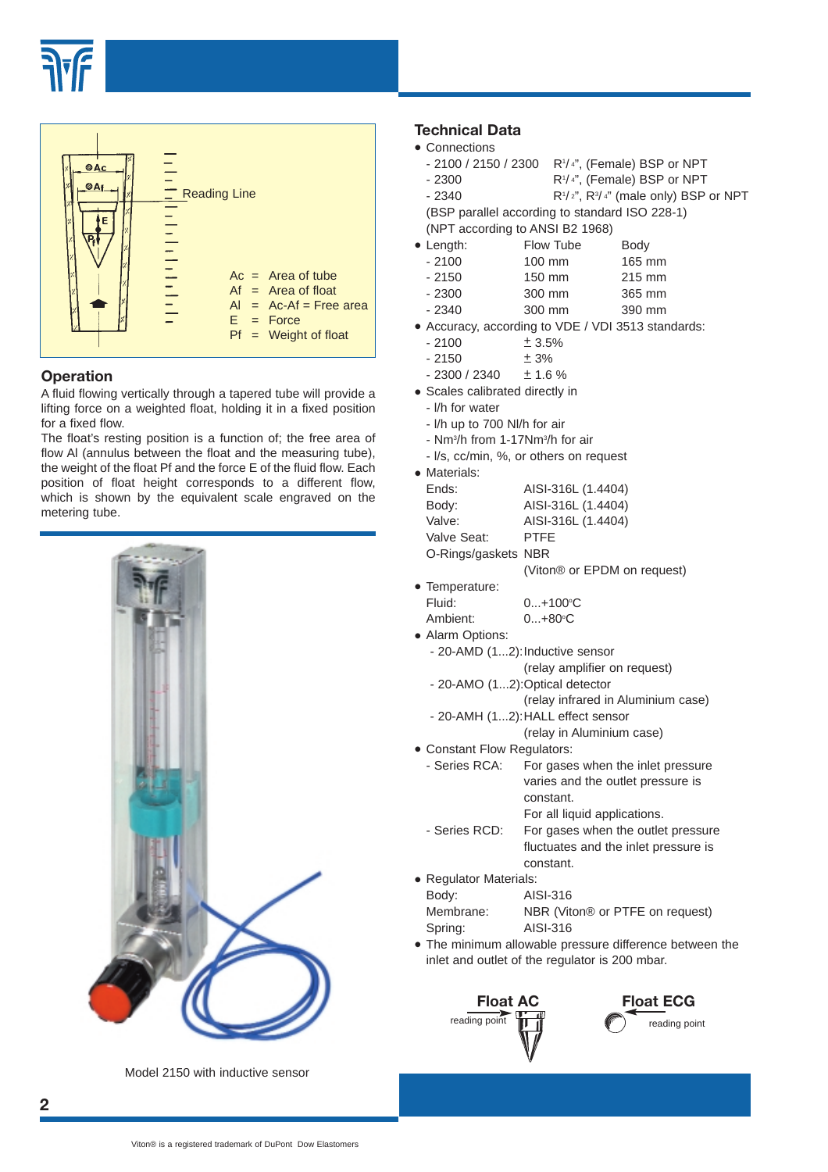



#### **Operation**

A fluid flowing vertically through a tapered tube will provide a lifting force on a weighted float, holding it in a fixed position for a fixed flow.

The float's resting position is a function of; the free area of flow Al (annulus between the float and the measuring tube), the weight of the float Pf and the force E of the fluid flow. Each position of float height corresponds to a different flow, which is shown by the equivalent scale engraved on the metering tube.



Model 2150 with inductive sensor

#### **Technical Data**

- Connections
	- 2100 / 2150 / 2300 R<sup>1</sup>/<sup>4</sup>", (Female) BSP or NPT
	- $-2300$ R<sup>1</sup>/4", (Female) BSP or NPT
	- $-2340$ /2", R3/4" (male only) BSP or NPT
	- (BSP parallel according to standard ISO 228-1) (NPT according to ANSI B2 1968)
- 
- Length: Flow Tube Body<br>-2100 100 mm 165 n 165 mm
	- 2150 150 mm 215 mm
	- 2300 300 mm 365 mm
	- 2340 300 mm 390 mm
- Accuracy, according to VDE / VDI 3513 standards:<br>-  $2100$   $\pm 3.5\%$
- $± 3.5%$
- $-2150$   $\pm 3\%$
- $-2300 / 2340 + 1.6 \%$
- Scales calibrated directly in
	- l/h for water
	- l/h up to 700 Nl/h for air
	- Nm<sup>3</sup>/h from 1-17Nm<sup>3</sup>/h for air
	- l/s, cc/min, %, or others on request
- Materials:

| Ends:               | AISI-316L (1.4404) |
|---------------------|--------------------|
| Body:               | AISI-316L (1.4404) |
| Valve:              | AISI-316L (1.4404) |
| Valve Seat:         | <b>PTFF</b>        |
| O-Rings/gaskets NBR |                    |
|                     |                    |

(Viton® or EPDM on request)

- Temperature:<br>Fluid: Fluid: 0...+100°C Ambient:  $0...+80^{\circ}C$
- Alarm Options: - 20-AMD (1...2):Inductive sensor
	- (relay amplifier on request)
	- 20-AMO (1...2):Optical detector
		- (relay infrared in Aluminium case)
	- 20-AMH (1...2):HALL effect sensor (relay in Aluminium case)
- 
- Constant Flow Regulators:<br>- Series RCA: For gase For gases when the inlet pressure varies and the outlet pressure is constant. For all liquid applications.
	- Series RCD: For gases when the outlet pressure fluctuates and the inlet pressure is constant.
- Regulator Materials:<br>Body: Als Body: AISI-316 Membrane: NBR (Viton® or PTFE on request) Spring: AISI-316
- The minimum allowable pressure difference between the inlet and outlet of the regulator is 200 mbar.



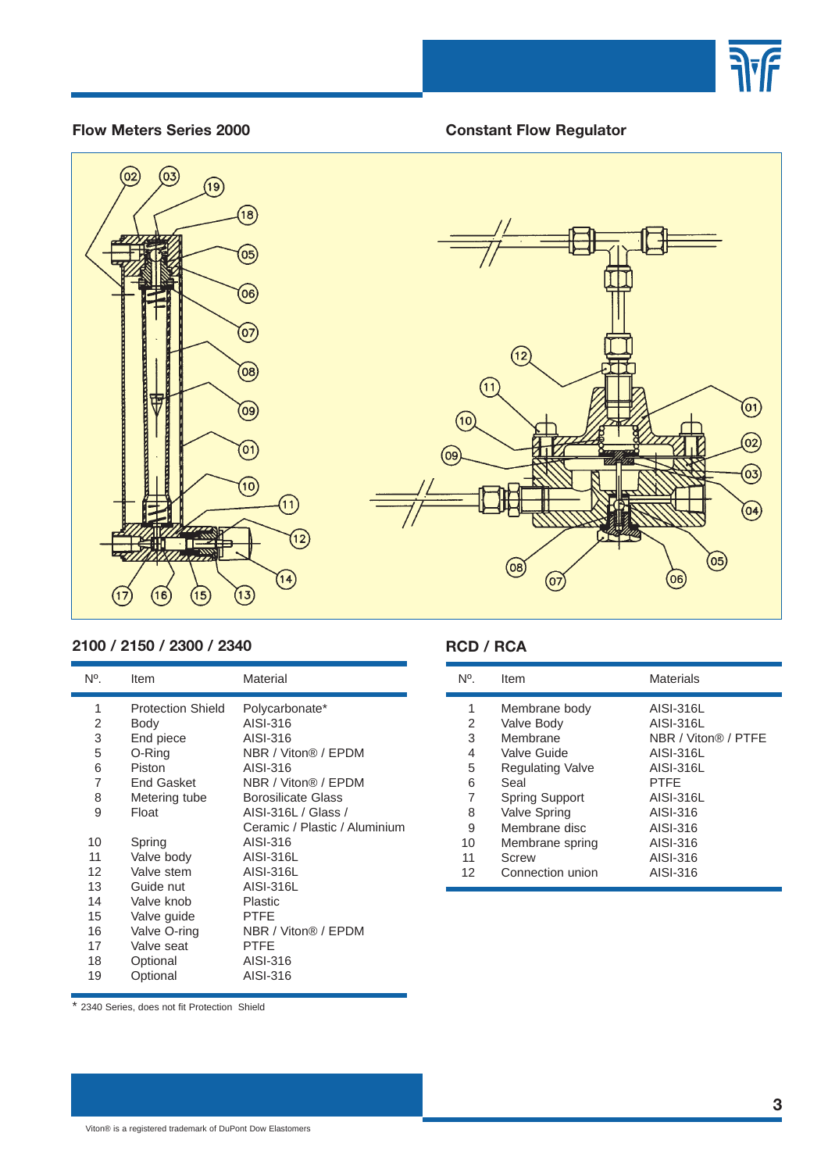

#### **Flow Meters Series 2000**

#### **Constant Flow Regulator**





#### **2100 / 2150 / 2300 / 2340**

| N°. | Item                     | Material                      |
|-----|--------------------------|-------------------------------|
| 1   | <b>Protection Shield</b> | Polycarbonate*                |
| 2   | Body                     | AISI-316                      |
| 3   | End piece                | AISI-316                      |
| 5   | O-Ring                   | NBR / Viton® / EPDM           |
| 6   | Piston                   | AISI-316                      |
| 7   | <b>End Gasket</b>        | NBR / Viton® / EPDM           |
| 8   | Metering tube            | <b>Borosilicate Glass</b>     |
| 9   | Float                    | AISI-316L / Glass /           |
|     |                          | Ceramic / Plastic / Aluminium |
| 10  | Spring                   | AISI-316                      |
| 11  | Valve body               | AISI-316L                     |
| 12  | Valve stem               | AISI-316L                     |
| 13  | Guide nut                | AISI-316L                     |
| 14  | Valve knob               | Plastic                       |
| 15  | Valve guide              | PTFE                          |
| 16  | Valve O-ring             | NBR / Viton® / EPDM           |
| 17  | Valve seat               | PTFE                          |
| 18  | Optional                 | AISI-316                      |
| 19  | Optional                 | AISI-316                      |
|     |                          |                               |

#### **RCD / RCA**

| N°. | Item                    | <b>Materials</b>    |
|-----|-------------------------|---------------------|
| 1   | Membrane body           | AISI-316L           |
| 2   | Valve Body              | AISI-316L           |
| 3   | Membrane                | NBR / Viton® / PTFF |
| 4   | Valve Guide             | AISI-316L           |
| 5   | <b>Regulating Valve</b> | AISI-316L           |
| 6   | Seal                    | <b>PTFF</b>         |
| 7   | <b>Spring Support</b>   | AISI-316L           |
| 8   | Valve Spring            | AISI-316            |
| 9   | Membrane disc           | AISI-316            |
| 10  | Membrane spring         | AISI-316            |
| 11  | <b>Screw</b>            | AISI-316            |
| 12  | Connection union        | AISI-316            |

\* 2340 Series, does not fit Protection Shield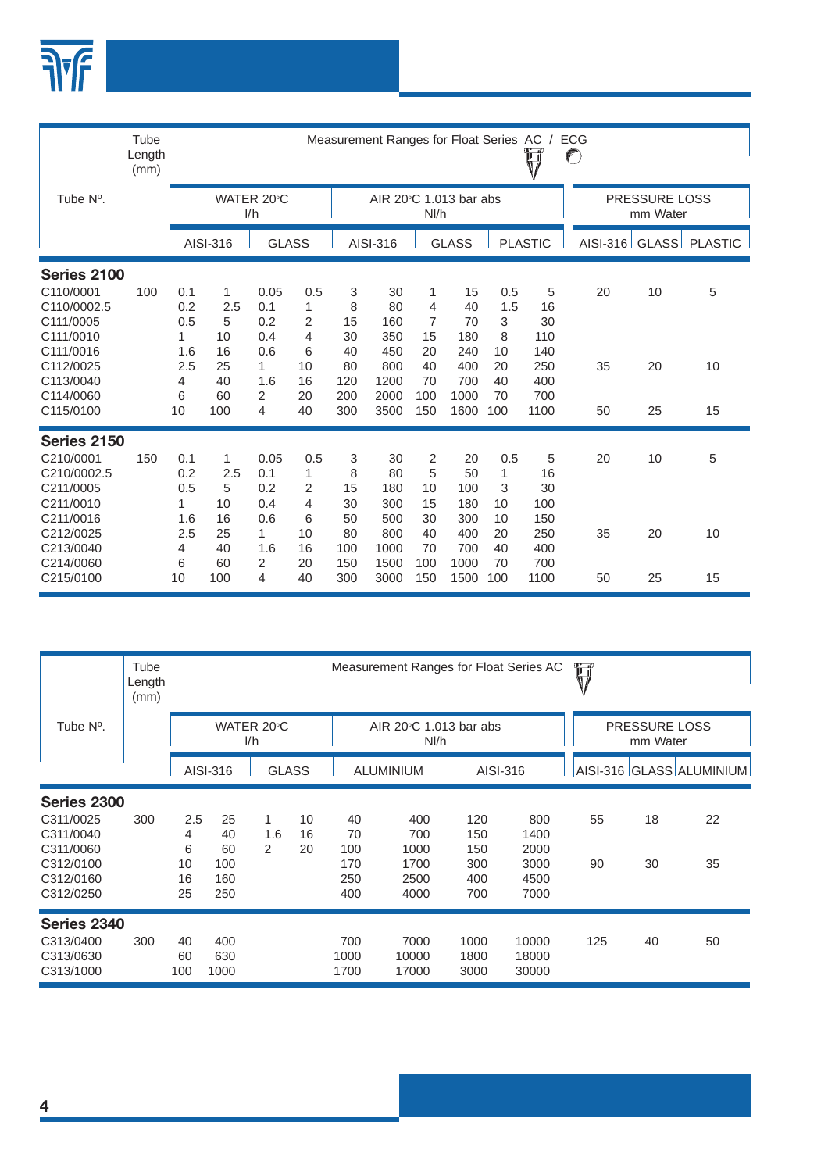

|                                                                 | Tube<br>Length<br>(mm) |                                          |                           |                                  |                               |                          | Measurement Ranges for Float Series AC |                                |                               |                           | Ü                           | ECG<br>$\mathbb{C}$ |                                  |                        |
|-----------------------------------------------------------------|------------------------|------------------------------------------|---------------------------|----------------------------------|-------------------------------|--------------------------|----------------------------------------|--------------------------------|-------------------------------|---------------------------|-----------------------------|---------------------|----------------------------------|------------------------|
| Tube N°.                                                        |                        |                                          |                           | WATER 20°C<br>1/h                |                               |                          | AIR 20°C 1.013 bar abs                 | Nl/h                           |                               |                           |                             |                     | <b>PRESSURE LOSS</b><br>mm Water |                        |
|                                                                 |                        |                                          | AISI-316                  | <b>GLASS</b>                     |                               |                          | AISI-316                               |                                | <b>GLASS</b>                  |                           | <b>PLASTIC</b>              |                     |                                  | AISI-316 GLASS PLASTIC |
| Series 2100                                                     |                        |                                          |                           |                                  |                               |                          |                                        |                                |                               |                           |                             |                     |                                  |                        |
| C110/0001<br>C110/0002.5<br>C111/0005<br>C111/0010              | 100                    | 0.1<br>0.2<br>0.5<br>1                   | 1<br>2.5<br>5<br>10       | 0.05<br>0.1<br>0.2<br>0.4        | 0.5<br>$\mathbf{1}$<br>2<br>4 | 3<br>8<br>15<br>30       | 30<br>80<br>160<br>350                 | 1<br>4<br>$\overline{7}$<br>15 | 15<br>40<br>70<br>180         | 0.5<br>1.5<br>3<br>8      | 5<br>16<br>30<br>110        | 20                  | 10                               | 5                      |
| C111/0016<br>C112/0025<br>C113/0040<br>C114/0060                |                        | 1.6<br>2.5<br>4<br>6                     | 16<br>25<br>40<br>60      | 0.6<br>1<br>1.6<br>2             | 6<br>10<br>16<br>20           | 40<br>80<br>120<br>200   | 450<br>800<br>1200<br>2000             | 20<br>40<br>70<br>100          | 240<br>400<br>700<br>1000     | 10<br>20<br>40<br>70      | 140<br>250<br>400<br>700    | 35                  | 20                               | 10                     |
| C115/0100                                                       |                        | 10                                       | 100                       | 4                                | 40                            | 300                      | 3500                                   | 150                            | 1600                          | 100                       | 1100                        | 50                  | 25                               | 15                     |
| Series 2150                                                     |                        |                                          |                           |                                  |                               |                          |                                        |                                |                               |                           |                             |                     |                                  |                        |
| C210/0001<br>C210/0002.5<br>C211/0005<br>C211/0010<br>C211/0016 | 150                    | 0.1<br>0.2<br>0.5<br>$\mathbf{1}$<br>1.6 | 1<br>2.5<br>5<br>10<br>16 | 0.05<br>0.1<br>0.2<br>0.4<br>0.6 | 0.5<br>1<br>2<br>4<br>6       | 3<br>8<br>15<br>30<br>50 | 30<br>80<br>180<br>300<br>500          | 2<br>5<br>10<br>15<br>30       | 20<br>50<br>100<br>180<br>300 | 0.5<br>1<br>3<br>10<br>10 | 5<br>16<br>30<br>100<br>150 | 20                  | 10                               | 5                      |
| C212/0025<br>C213/0040<br>C214/0060<br>C215/0100                |                        | 2.5<br>4<br>6<br>10                      | 25<br>40<br>60<br>100     | 1<br>1.6<br>$\overline{2}$<br>4  | 10<br>16<br>20<br>40          | 80<br>100<br>150<br>300  | 800<br>1000<br>1500<br>3000            | 40<br>70<br>100<br>150         | 400<br>700<br>1000<br>1500    | 20<br>40<br>70<br>100     | 250<br>400<br>700<br>1100   | 35<br>50            | 20<br>25                         | 10<br>15               |

|                                                           | Tube<br>Length<br>(mm) |                 |                    |                           |                |                     | Measurement Ranges for Float Series AC   |                      |                         | Ŵ   |                                  |                          |
|-----------------------------------------------------------|------------------------|-----------------|--------------------|---------------------------|----------------|---------------------|------------------------------------------|----------------------|-------------------------|-----|----------------------------------|--------------------------|
| Tube N <sup>o</sup> .                                     |                        |                 |                    | WATER 20°C<br>1/h         |                |                     | AIR $20^{\circ}$ C 1.013 bar abs<br>Nl/h |                      |                         |     | <b>PRESSURE LOSS</b><br>mm Water |                          |
|                                                           |                        |                 | AISI-316           | <b>GLASS</b>              |                |                     | <b>ALUMINIUM</b>                         | AISI-316             |                         |     |                                  | AISI-316 GLASS ALUMINIUM |
| Series 2300                                               |                        |                 |                    |                           |                |                     |                                          |                      |                         |     |                                  |                          |
| C311/0025<br>C311/0040<br>C311/0060                       | 300                    | 2.5<br>4<br>6   | 25<br>40<br>60     | 1<br>1.6<br>$\mathcal{P}$ | 10<br>16<br>20 | 40<br>70<br>100     | 400<br>700<br>1000                       | 120<br>150<br>150    | 800<br>1400<br>2000     | 55  | 18                               | 22                       |
| C312/0100<br>C312/0160<br>C312/0250                       |                        | 10<br>16<br>25  | 100<br>160<br>250  |                           |                | 170<br>250<br>400   | 1700<br>2500<br>4000                     | 300<br>400<br>700    | 3000<br>4500<br>7000    | 90  | 30                               | 35                       |
| <b>Series 2340</b><br>C313/0400<br>C313/0630<br>C313/1000 | 300                    | 40<br>60<br>100 | 400<br>630<br>1000 |                           |                | 700<br>1000<br>1700 | 7000<br>10000<br>17000                   | 1000<br>1800<br>3000 | 10000<br>18000<br>30000 | 125 | 40                               | 50                       |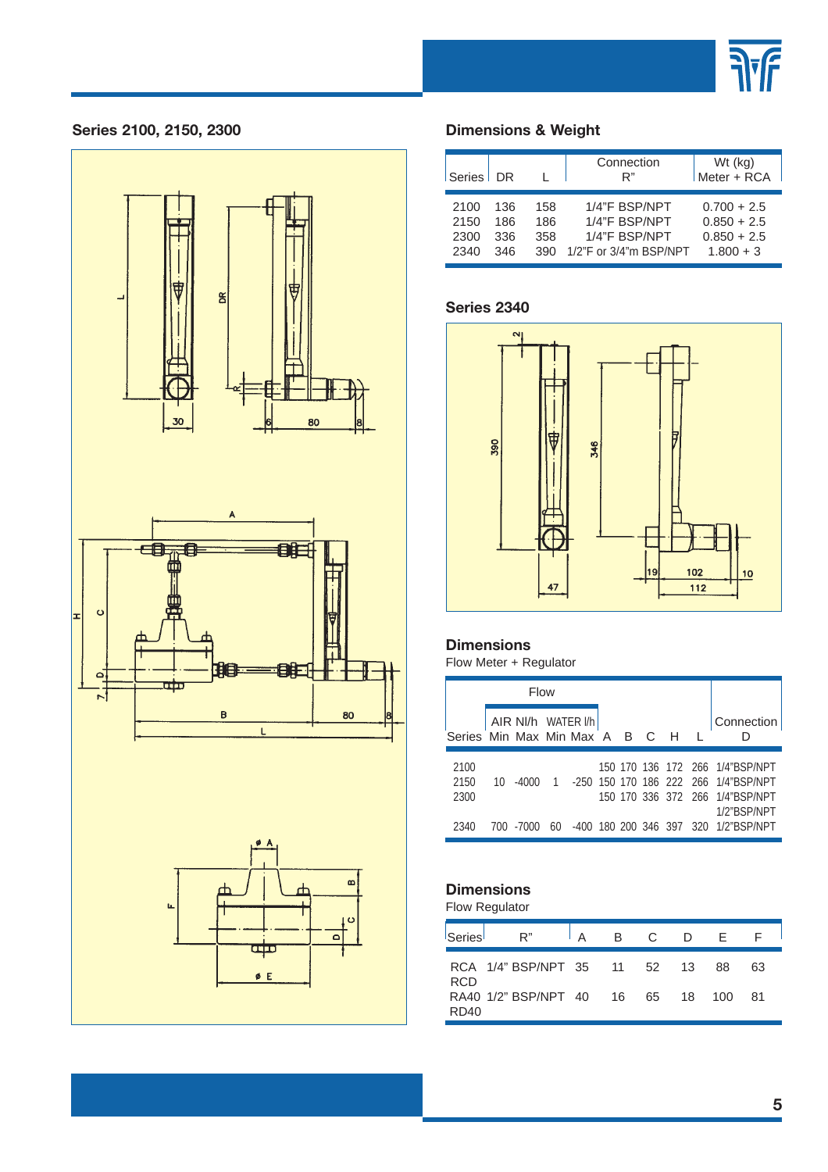



#### **Series 2100, 2150, 2300 Dimensions & Weight**

| Series   DR |     |     | Connection<br>R"       | Wt (kg)<br>Meter + RCA |
|-------------|-----|-----|------------------------|------------------------|
| 2100        | 136 | 158 | 1/4"F BSP/NPT          | $0.700 + 2.5$          |
| 2150        | 186 | 186 | 1/4"F BSP/NPT          | $0.850 + 2.5$          |
| 2300        | 336 | 358 | 1/4"F BSP/NPT          | $0.850 + 2.5$          |
| 2340        | 346 | 390 | 1/2"F or 3/4"m BSP/NPT | $1.800 + 3$            |

#### **Series 2340**



#### **Dimensions**

Flow Meter + Regulator

|                                  |    | Flow               |    |  |  |  |                                                                                                                             |
|----------------------------------|----|--------------------|----|--|--|--|-----------------------------------------------------------------------------------------------------------------------------|
| Series Min Max Min Max A B C H L |    | AIR NI/h WATER I/h |    |  |  |  | Connection                                                                                                                  |
| 2100<br>2150<br>2300             | 10 | -4000              |    |  |  |  | 150 170 136 172 266 1/4"BSP/NPT<br>1 -250 150 170 186 222 266 1/4"BSP/NPT<br>150 170 336 372 266 1/4"BSP/NPT<br>1/2"BSP/NPT |
| 2340                             |    | 700 -7000          | 60 |  |  |  | -400 180 200 346 397 320 1/2"BSP/NPT                                                                                        |

### **Dimensions**

Flow Regulator

| Series     | R" IA BC DE                     |  |  |     |     |  |
|------------|---------------------------------|--|--|-----|-----|--|
| <b>RCD</b> | RCA 1/4" BSP/NPT 35 11 52 13 88 |  |  |     | 63  |  |
| RD40       | RA40 1/2" BSP/NPT 40 16 65 18   |  |  | 100 | -81 |  |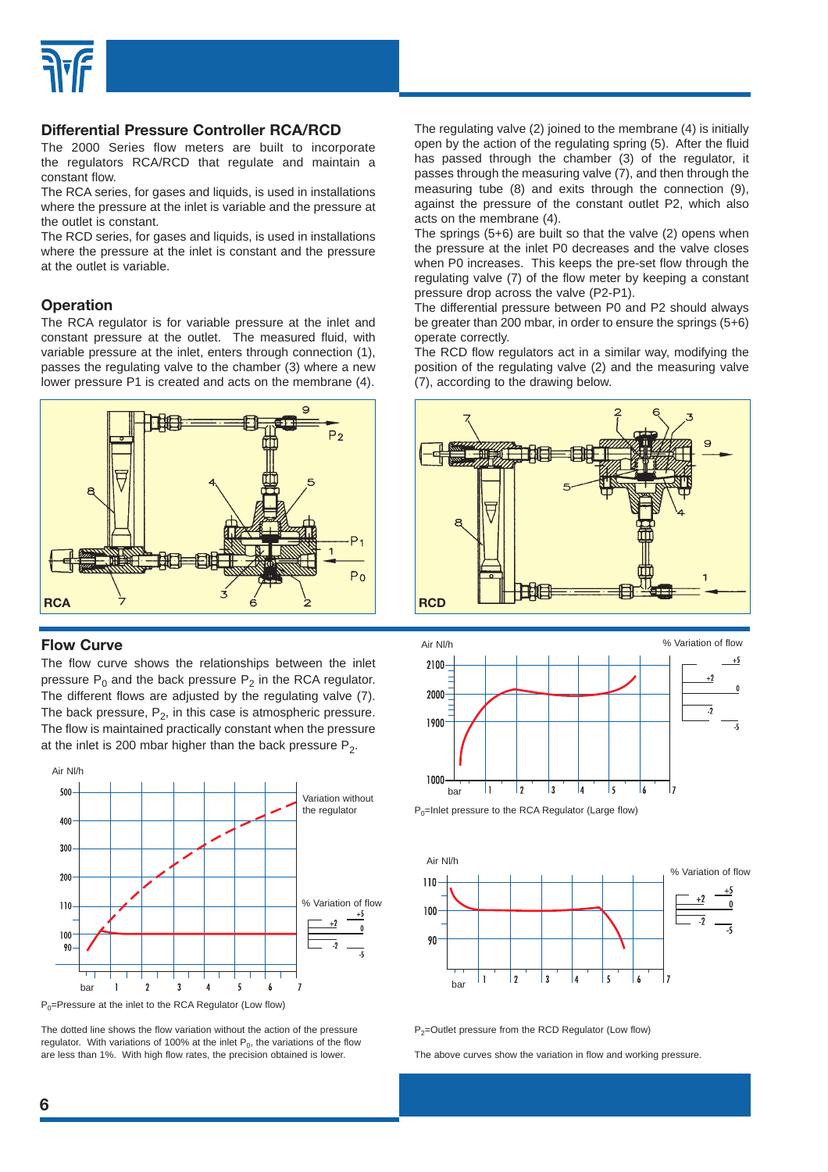

#### **Differential Pressure Controller RCA/RCD**

The 2000 Series flow meters are built to incorporate the regulators RCA/RCD that regulate and maintain a constant flow.

The RCA series, for gases and liquids, is used in installations where the pressure at the inlet is variable and the pressure at the outlet is constant.

The RCD series, for gases and liquids, is used in installations where the pressure at the inlet is constant and the pressure at the outlet is variable.

#### **Operation**

The RCA regulator is for variable pressure at the inlet and constant pressure at the outlet. The measured fluid, with variable pressure at the inlet, enters through connection (1), passes the regulating valve to the chamber (3) where a new lower pressure P1 is created and acts on the membrane (4).



#### **Flow Curve**

The flow curve shows the relationships between the inlet pressure  $P_0$  and the back pressure  $P_2$  in the RCA regulator. The different flows are adjusted by the regulating valve (7). The back pressure,  $P_2$ , in this case is atmospheric pressure. The flow is maintained practically constant when the pressure at the inlet is 200 mbar higher than the back pressure  $P_2$ .



 $P_0$ =Pressure at the inlet to the RCA Regulator (Low flow)

The dotted line shows the flow variation without the action of the pressure regulator. With variations of 100% at the inlet  $P_0$ , the variations of the flow are less than 1%. With high flow rates, the precision obtained is lower.

The regulating valve (2) joined to the membrane (4) is initially open by the action of the regulating spring (5). After the fluid has passed through the chamber (3) of the regulator, it passes through the measuring valve (7), and then through the measuring tube (8) and exits through the connection (9), against the pressure of the constant outlet P2, which also acts on the membrane (4).

The springs (5+6) are built so that the valve (2) opens when the pressure at the inlet P0 decreases and the valve closes when P0 increases. This keeps the pre-set flow through the regulating valve (7) of the flow meter by keeping a constant pressure drop across the valve (P2-P1).

The differential pressure between P0 and P2 should always be greater than 200 mbar, in order to ensure the springs (5+6) operate correctly.

The RCD flow regulators act in a similar way, modifying the position of the regulating valve (2) and the measuring valve (7), according to the drawing below.





 $P_0$ =Inlet pressure to the RCA Regulator (Large flow)



P<sub>2</sub>=Outlet pressure from the RCD Regulator (Low flow)

The above curves show the variation in flow and working pressure.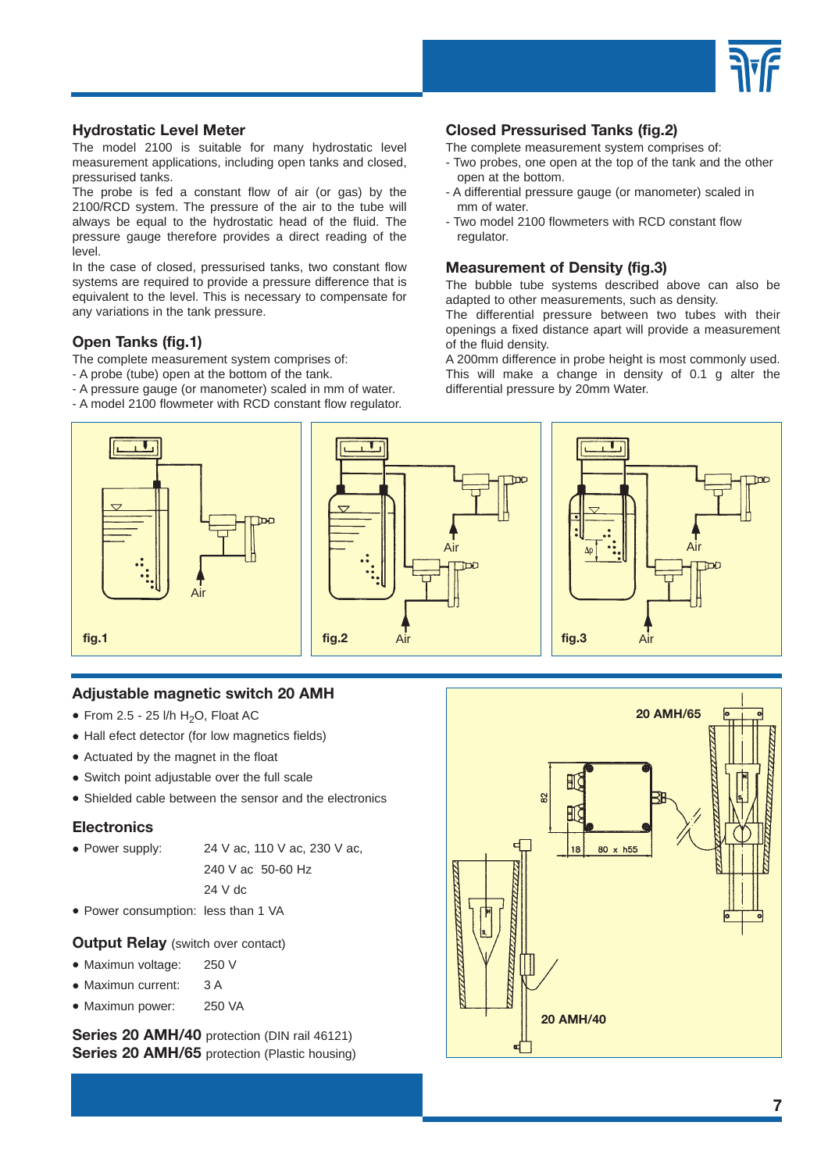

#### **Hydrostatic Level Meter**

The model 2100 is suitable for many hydrostatic level measurement applications, including open tanks and closed, pressurised tanks.

The probe is fed a constant flow of air (or gas) by the 2100/RCD system. The pressure of the air to the tube will always be equal to the hydrostatic head of the fluid. The pressure gauge therefore provides a direct reading of the level.

In the case of closed, pressurised tanks, two constant flow systems are required to provide a pressure difference that is equivalent to the level. This is necessary to compensate for any variations in the tank pressure.

#### **Open Tanks (fig.1)**

- The complete measurement system comprises of:
- A probe (tube) open at the bottom of the tank.
- A pressure gauge (or manometer) scaled in mm of water.
- A model 2100 flowmeter with RCD constant flow regulator.

#### **Closed Pressurised Tanks (fig.2)**

- The complete measurement system comprises of:
- Two probes, one open at the top of the tank and the other open at the bottom.
- A differential pressure gauge (or manometer) scaled in mm of water.
- Two model 2100 flowmeters with RCD constant flow regulator.

#### **Measurement of Density (fig.3)**

The bubble tube systems described above can also be adapted to other measurements, such as density.

The differential pressure between two tubes with their openings a fixed distance apart will provide a measurement of the fluid density.

A 200mm difference in probe height is most commonly used. This will make a change in density of 0.1 g alter the differential pressure by 20mm Water.



#### **Adjustable magnetic switch 20 AMH**

- From 2.5 25 l/h  $H_2O$ , Float AC
- Hall efect detector (for low magnetics fields)
- Actuated by the magnet in the float
- Switch point adjustable over the full scale
- Shielded cable between the sensor and the electronics

#### **Electronics**

• Power supply: 24 V ac, 110 V ac, 230 V ac,

240 V ac 50-60 Hz 24 V dc

• Power consumption: less than 1 VA

#### **Output Relay** (switch over contact)

- Maximun voltage: 250 V
- Maximun current: 3 A
- Maximun power: 250 VA

**Series 20 AMH/40** protection (DIN rail 46121) **Series 20 AMH/65** protection (Plastic housing)